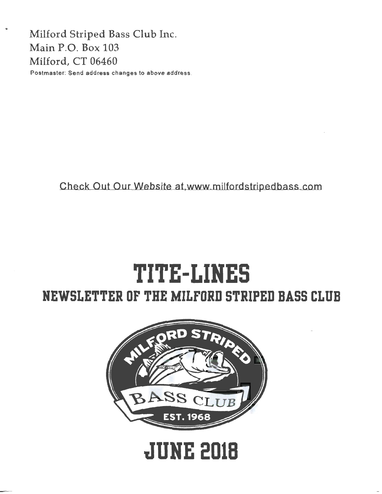Milford Striped Bass Club Inc. Main P.O. Box 103 Milford, CT 06460 Postmaster: Send address changes to above address .

...

### Check Out Our Website at,www milfordstripedbass com

# **TITE-LIHES**

### **NEWSLETTER OF THE MILFORD STRIPED BASS CLUB**



# **JUNE 2018**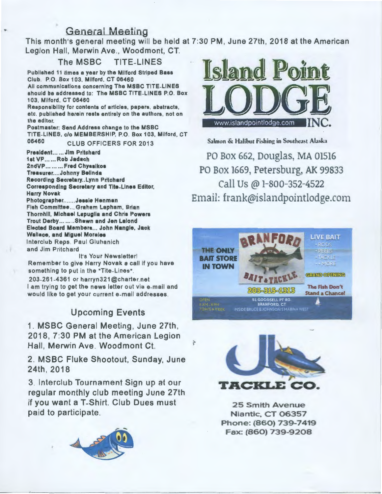### General Meeting

This month's general meeting will be held at 7:30 PM, June 27th, 2018 at the American Legion Hall, Merwin Ave., Woodmont, CT.

#### The MSBC TITE-LINES

Published 11 times a year by the Milford Striped Baas Club. P.O. Box 103, Milford, CT 06460 All communications concerning The MSBC TITE-LINES

should be addressed to: The MSBC TITE-LINES P.O. Box 103, Milford, CT 06460

Responsibility for contents of articles, papers, abstracts, etc. published herein rests entirely on the authors, not on the editor.

Postmaster: Send Address change to the MSBC TITE-LINES, c/o MEMBERSHIP, P.O. Box 103, Milford, CT 06460 CLUB OFFICERS FOR 2013

President... ... Jim Pritchard 1at VP ...... Rob Jadach 2ndVP......... Fred Chyssikos Treasurer....Johnny Belinda Recording Secretary .. Lynn Pritchard Correapondlng Secretary and Tite.Linea Editor, Harry Novak Photographer.......Jessie Henman Fish Committee... Graham Lapham, Brian Thornhill, Michael Lapuglia and Chris Powers Trout Derby ........ Shawn and Jen Lafond Elected Board Members ... John Nangle, Jack Wallace, and Miguel Morales lnterclub Reps. Paul Gluhanich and Jim Pritchard

'I

It's Your Newsletter! Remember to give Harry Novak a call if you have something to put in the "Tite-Lines". 203-261-4361 or harryn321 @charter. net I am trying to get the news letter out via e-mail and would like to get your current e-mail addresses .

#### Upcoming Events

1. MSBC General Meeting, June 27th, 2018, 7:30 PM at the American Legion Hall, Merwin Ave. Woodmont Ct.

2. MSBC Fluke Shootout, Sunday, June 24th, 2018

3 lnterclub Tournament Sign up at our regular monthly club meeting June 27th if you want a T-Shirt. Club Dues must paid to participate.





Salmon & Halibut Fishing in Southeast Alaska PO Box 662, Douglas, MA 01516 PO Box 1669, Petersburg, AK 99833 Call Us @ l-800-352-4522 Email: frank@islandpointlodge.com





25 Smith Avenue Niantic. CT 06357 Phone: (860) 739-7419 Fax: (860) 739-9208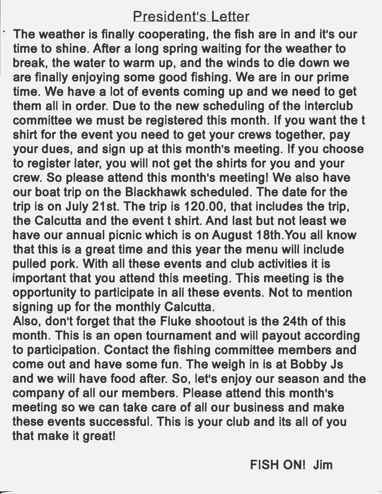## President's Letter

The weather is finally cooperating, the fish are in and it's our time to shine. After a long spring waiting for the weather to break. the water to warm up. and the winds to die down we are finally enjoying some good fishing. We are in our prime time. We have a lot of events coming up and we need to get them all in order. Due to the new scheduling of the interclub committee we must be registered this month. If you want the t shirt for the event you need to get your crews together. pay your dues. and sign up at this month's meeting. If you choose to register later. you will not get the shirts for you and your crew. So please attend this month's meetingl We also have our boat trip on the Blackhawk scheduled. The date for the trip is on July 21st. The trip is 120.00, that includes the trip, the Calcutta and the event t shirt. And last but not least we have our annual picnic which is on August 18th.You all know that this is a great time and this year the menu will include pulled pork. With all these events and club activities it is important that you attend this meeting. This meeting is the opportunity to participate in all these events. Not to mention signing up for the monthly Calcutta.

Also, don't forget that the Fluke shootout is the 24th of this month. This is an open tournament and will payout according to participation. Contact the fishing committee members and come out and have some fun. The weigh in is at Bobby Js and we will have food after. So. let's enjoy our season and the company of all our members. Please attend this month's meeting so we can take care of all our business and make these events successful. This is your club and its all of you that make it greatl

FISH ONI Jim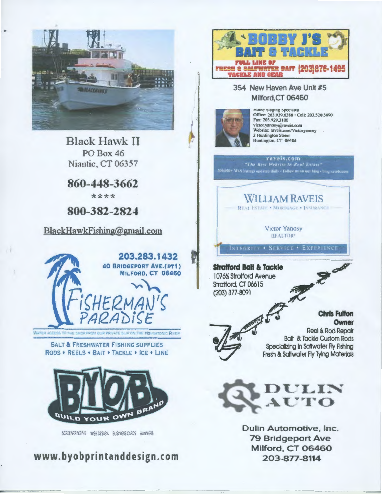

**Black Hawk II PO Box 46** Niantic, CT 06357

860-448-3662

\*\*\*\*

800-382-2824

BlackHawkFishing@gmail.com



OM OUR PRIVATE SLIP ON THE NO ISATONIC RIVER WATER A

**SALT & FRESHWATER FISHING SUPPLIES** RODS . REELS . BAIT . TACKLE . ICE . LINE



KRENRATAG WEBDENG BUSINESSCHOS BANKRS

www.byobprintanddesign.com



#### 354 New Haven Ave Unit #5 Milford.CT 06460



riome staging specialist Office: 203.929.6388 · Cell: 203.520.5690 Fax: 203.929.3100 victor.yanosy@raveis.com Website: raveis.com/Victoryanosy . 2 Huntington Street Huntington, CT 06484

# ${ \begin{array}{c} \verb|ravels.com| \hline \verb|ravels.com| \hline \verb|mem| \hline \verb|mem| \hline \verb|mem| \hline \verb|mem| \hline \verb|mem| \hline \verb|mem| \hline \verb|mem| \hline \verb|mem| \hline \verb|mem| \hline \verb|mem| \hline \verb|mem| \hline \verb|mem| \hline \verb|mem| \hline \verb|mem| \hline \verb|mem| \hline \verb|mem| \hline \verb|mem| \hline \verb|mem| \hline \verb|mem| \hline \verb|mem| \hline \verb|mem| \hline \$

**WILLIAM RAVEIS REAL ESTATE - MORTGAGE - INSURANCE** 

> **Victor Yanosy** REALTOR\*

**INTEGRITY . SERVICE . EXPLRIENCE** 

**Stratford Balt & Tackle** 1076% Stratford Avenue Stratford, CT 06615  $(203)$  377-8091





**Owner Reel & Rod Repair Balt & Tackle Custom Rods** 

Specializing in Saltwater Fly Fishing Fresh & Saltwater Fly Tying Materials



Dulin Automotive, Inc. **79 Bridgeport Ave** Milford, CT 06460 203-877-8114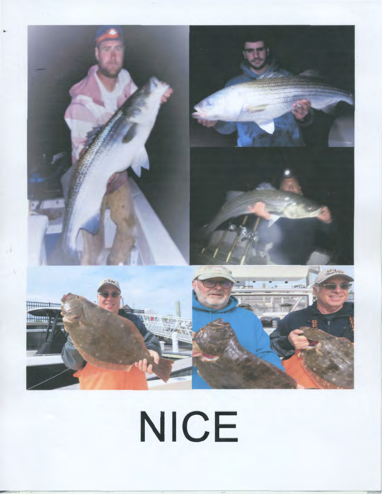

# NICE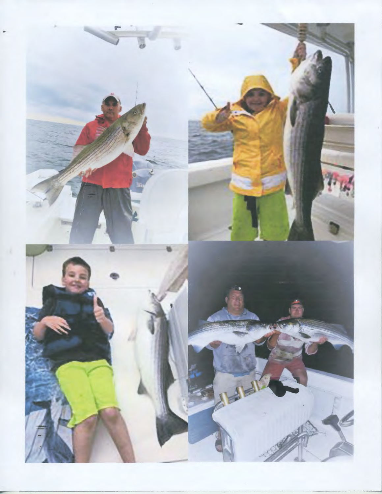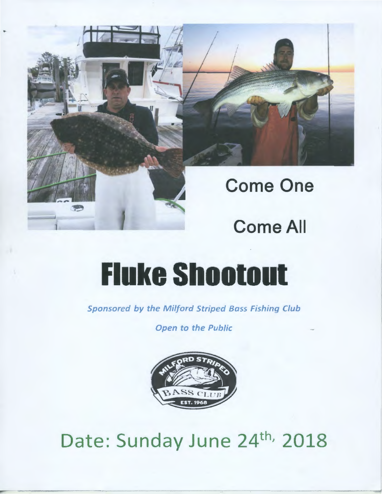

# **Come All**

# **Fluke Shootout**

Sponsored by the Milford Striped Bass Fishing Club

Open to the Public



Date: Sunday June 24th, 2018